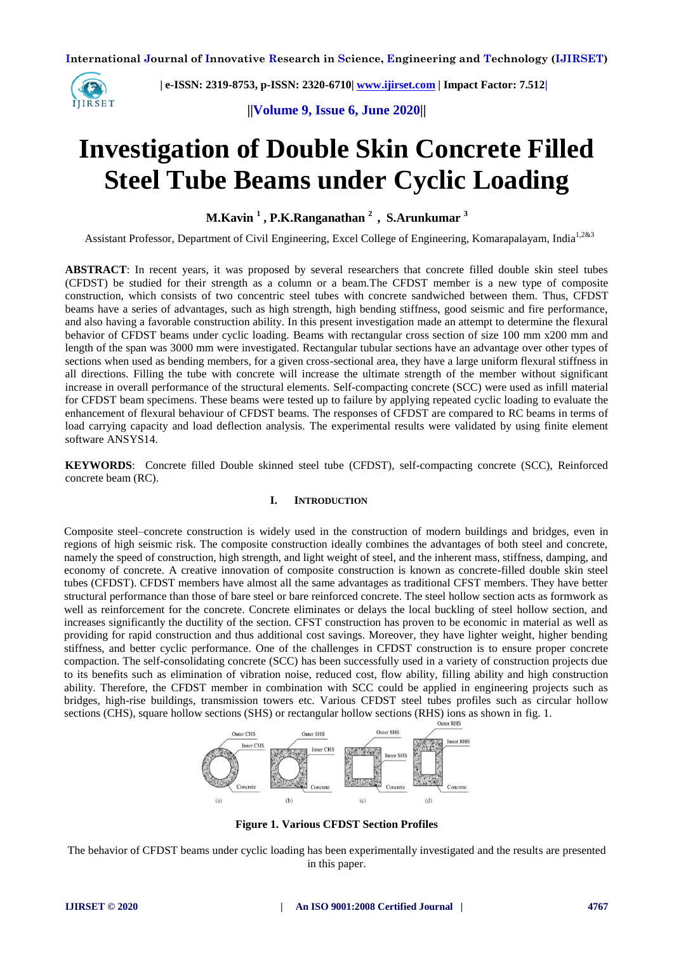

 **| e-ISSN: 2319-8753, p-ISSN: 2320-6710[| www.ijirset.com](http://www.ijirset.com/) | Impact Factor: 7.512|**

**||Volume 9, Issue 6, June 2020||** 

# **Investigation of Double Skin Concrete Filled Steel Tube Beams under Cyclic Loading**

**M.Kavin <sup>1</sup> , P.K.Ranganathan <sup>2</sup> , S.Arunkumar <sup>3</sup>**

Assistant Professor, Department of Civil Engineering, Excel College of Engineering, Komarapalayam, India<sup>1,2&3</sup>

**ABSTRACT**: In recent years, it was proposed by several researchers that concrete filled double skin steel tubes (CFDST) be studied for their strength as a column or a beam.The CFDST member is a new type of composite construction, which consists of two concentric steel tubes with concrete sandwiched between them. Thus, CFDST beams have a series of advantages, such as high strength, high bending stiffness, good seismic and fire performance, and also having a favorable construction ability. In this present investigation made an attempt to determine the flexural behavior of CFDST beams under cyclic loading. Beams with rectangular cross section of size 100 mm x200 mm and length of the span was 3000 mm were investigated. Rectangular tubular sections have an advantage over other types of sections when used as bending members, for a given cross-sectional area, they have a large uniform flexural stiffness in all directions. Filling the tube with concrete will increase the ultimate strength of the member without significant increase in overall performance of the structural elements. Self-compacting concrete (SCC) were used as infill material for CFDST beam specimens. These beams were tested up to failure by applying repeated cyclic loading to evaluate the enhancement of flexural behaviour of CFDST beams. The responses of CFDST are compared to RC beams in terms of load carrying capacity and load deflection analysis. The experimental results were validated by using finite element software ANSYS14.

**KEYWORDS**: Concrete filled Double skinned steel tube (CFDST), self-compacting concrete (SCC), Reinforced concrete beam (RC).

# **I. INTRODUCTION**

Composite steel–concrete construction is widely used in the construction of modern buildings and bridges, even in regions of high seismic risk. The composite construction ideally combines the advantages of both steel and concrete, namely the speed of construction, high strength, and light weight of steel, and the inherent mass, stiffness, damping, and economy of concrete. A creative innovation of composite construction is known as concrete-filled double skin steel tubes (CFDST). CFDST members have almost all the same advantages as traditional CFST members. They have better structural performance than those of bare steel or bare reinforced concrete. The steel hollow section acts as formwork as well as reinforcement for the concrete. Concrete eliminates or delays the local buckling of steel hollow section, and increases significantly the ductility of the section. CFST construction has proven to be economic in material as well as providing for rapid construction and thus additional cost savings. Moreover, they have lighter weight, higher bending stiffness, and better cyclic performance. One of the challenges in CFDST construction is to ensure proper concrete compaction. The self-consolidating concrete (SCC) has been successfully used in a variety of construction projects due to its benefits such as elimination of vibration noise, reduced cost, flow ability, filling ability and high construction ability. Therefore, the CFDST member in combination with SCC could be applied in engineering projects such as bridges, high-rise buildings, transmission towers etc. Various CFDST steel tubes profiles such as circular hollow sections (CHS), square hollow sections (SHS) or rectangular hollow sections (RHS) ions as shown in fig. 1.



**Figure 1. Various CFDST Section Profiles**

The behavior of CFDST beams under cyclic loading has been experimentally investigated and the results are presented in this paper.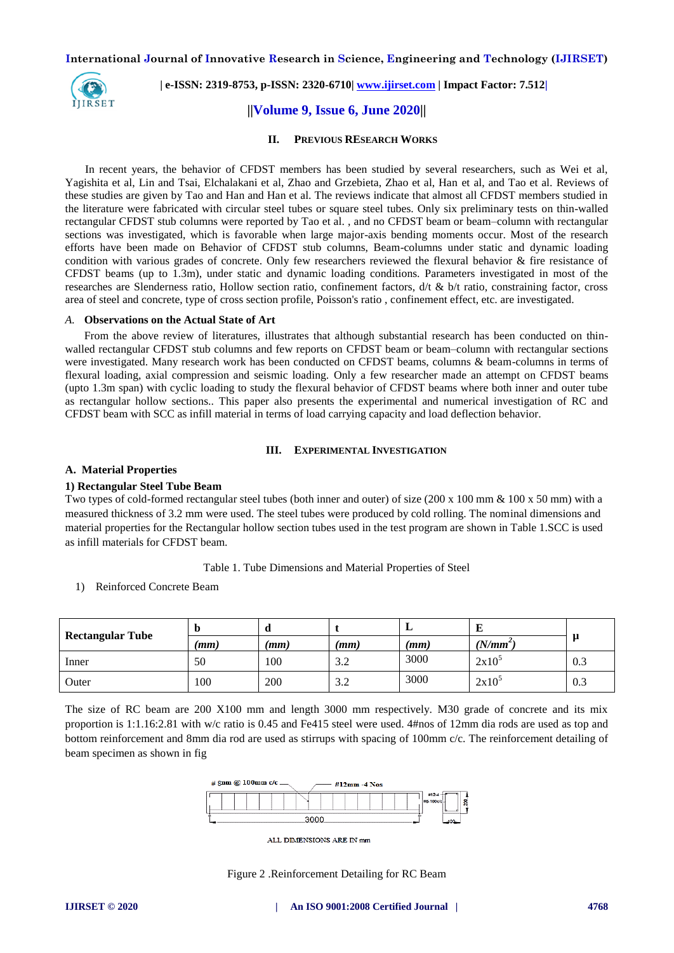

 **| e-ISSN: 2319-8753, p-ISSN: 2320-6710[| www.ijirset.com](http://www.ijirset.com/) | Impact Factor: 7.512|**

# **||Volume 9, Issue 6, June 2020||**

#### **II. PREVIOUS RESEARCH WORKS**

 In recent years, the behavior of CFDST members has been studied by several researchers, such as Wei et al, Yagishita et al, Lin and Tsai, Elchalakani et al, Zhao and Grzebieta, Zhao et al, Han et al, and Tao et al. Reviews of these studies are given by Tao and Han and Han et al. The reviews indicate that almost all CFDST members studied in the literature were fabricated with circular steel tubes or square steel tubes. Only six preliminary tests on thin-walled rectangular CFDST stub columns were reported by Tao et al. , and no CFDST beam or beam–column with rectangular sections was investigated, which is favorable when large major-axis bending moments occur. Most of the research efforts have been made on Behavior of CFDST stub columns, Beam-columns under static and dynamic loading condition with various grades of concrete. Only few researchers reviewed the flexural behavior & fire resistance of CFDST beams (up to 1.3m), under static and dynamic loading conditions. Parameters investigated in most of the researches are Slenderness ratio, Hollow section ratio, confinement factors,  $\frac{d}{t} \& \frac{b}{t}$  ratio, constraining factor, cross area of steel and concrete, type of cross section profile, Poisson's ratio , confinement effect, etc. are investigated.

#### *A.* **Observations on the Actual State of Art**

 From the above review of literatures, illustrates that although substantial research has been conducted on thinwalled rectangular CFDST stub columns and few reports on CFDST beam or beam–column with rectangular sections were investigated. Many research work has been conducted on CFDST beams, columns & beam-columns in terms of flexural loading, axial compression and seismic loading. Only a few researcher made an attempt on CFDST beams (upto 1.3m span) with cyclic loading to study the flexural behavior of CFDST beams where both inner and outer tube as rectangular hollow sections.. This paper also presents the experimental and numerical investigation of RC and CFDST beam with SCC as infill material in terms of load carrying capacity and load deflection behavior.

#### **III. EXPERIMENTAL INVESTIGATION**

#### **A. Material Properties**

#### **1) Rectangular Steel Tube Beam**

Two types of cold-formed rectangular steel tubes (both inner and outer) of size (200 x 100 mm  $\&$  100 x 50 mm) with a measured thickness of 3.2 mm were used. The steel tubes were produced by cold rolling. The nominal dimensions and material properties for the Rectangular hollow section tubes used in the test program are shown in Table 1.SCC is used as infill materials for CFDST beam.

#### Table 1. Tube Dimensions and Material Properties of Steel

1) Reinforced Concrete Beam

| <b>Rectangular Tube</b> | D    | u    |                 | <u>ы</u> | щ          |     |
|-------------------------|------|------|-----------------|----------|------------|-----|
|                         | (mm) | (mm) | (mm)            | (mm)     | $(N/mm^2)$ |     |
| Inner                   | 50   | 100  | $\Omega$<br>J.L | 3000     | $2x10^5$   | 0.3 |
| Outer                   | 100  | 200  | 3.2             | 3000     | $2x10^3$   | 0.3 |

The size of RC beam are 200 X100 mm and length 3000 mm respectively. M30 grade of concrete and its mix proportion is 1:1.16:2.81 with w/c ratio is 0.45 and Fe415 steel were used. 4#nos of 12mm dia rods are used as top and bottom reinforcement and 8mm dia rod are used as stirrups with spacing of 100mm c/c. The reinforcement detailing of beam specimen as shown in fig



ALL DIMENSIONS ARE IN mm

Figure 2 .Reinforcement Detailing for RC Beam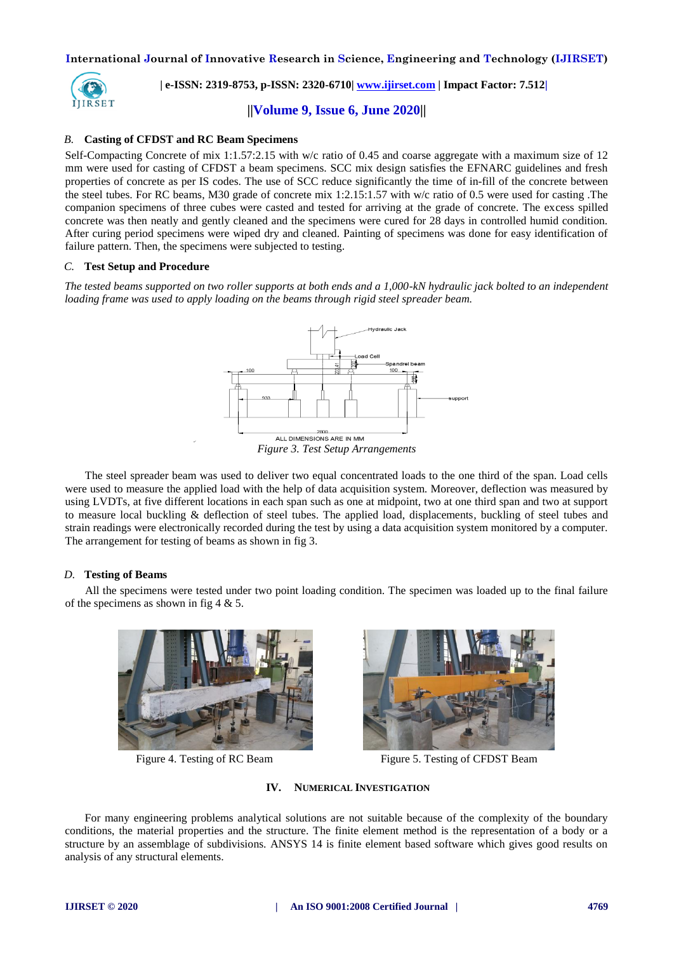

 **| e-ISSN: 2319-8753, p-ISSN: 2320-6710[| www.ijirset.com](http://www.ijirset.com/) | Impact Factor: 7.512|**

**||Volume 9, Issue 6, June 2020||** 

# *B.* **Casting of CFDST and RC Beam Specimens**

Self-Compacting Concrete of mix 1:1.57:2.15 with w/c ratio of 0.45 and coarse aggregate with a maximum size of 12 mm were used for casting of CFDST a beam specimens. SCC mix design satisfies the EFNARC guidelines and fresh properties of concrete as per IS codes. The use of SCC reduce significantly the time of in-fill of the concrete between the steel tubes. For RC beams, M30 grade of concrete mix 1:2.15:1.57 with w/c ratio of 0.5 were used for casting .The companion specimens of three cubes were casted and tested for arriving at the grade of concrete. The excess spilled concrete was then neatly and gently cleaned and the specimens were cured for 28 days in controlled humid condition. After curing period specimens were wiped dry and cleaned. Painting of specimens was done for easy identification of failure pattern. Then, the specimens were subjected to testing.

### *C.* **Test Setup and Procedure**

*The tested beams supported on two roller supports at both ends and a 1,000-kN hydraulic jack bolted to an independent loading frame was used to apply loading on the beams through rigid steel spreader beam.*



 The steel spreader beam was used to deliver two equal concentrated loads to the one third of the span. Load cells were used to measure the applied load with the help of data acquisition system. Moreover, deflection was measured by using LVDTs, at five different locations in each span such as one at midpoint, two at one third span and two at support to measure local buckling & deflection of steel tubes. The applied load, displacements, buckling of steel tubes and strain readings were electronically recorded during the test by using a data acquisition system monitored by a computer. The arrangement for testing of beams as shown in fig 3.

# *D.* **Testing of Beams**

 All the specimens were tested under two point loading condition. The specimen was loaded up to the final failure of the specimens as shown in fig 4 & 5.





Figure 4. Testing of RC Beam Figure 5. Testing of CFDST Beam

# **IV. NUMERICAL INVESTIGATION**

 For many engineering problems analytical solutions are not suitable because of the complexity of the boundary conditions, the material properties and the structure. The finite element method is the representation of a body or a structure by an assemblage of subdivisions. ANSYS 14 is finite element based software which gives good results on analysis of any structural elements.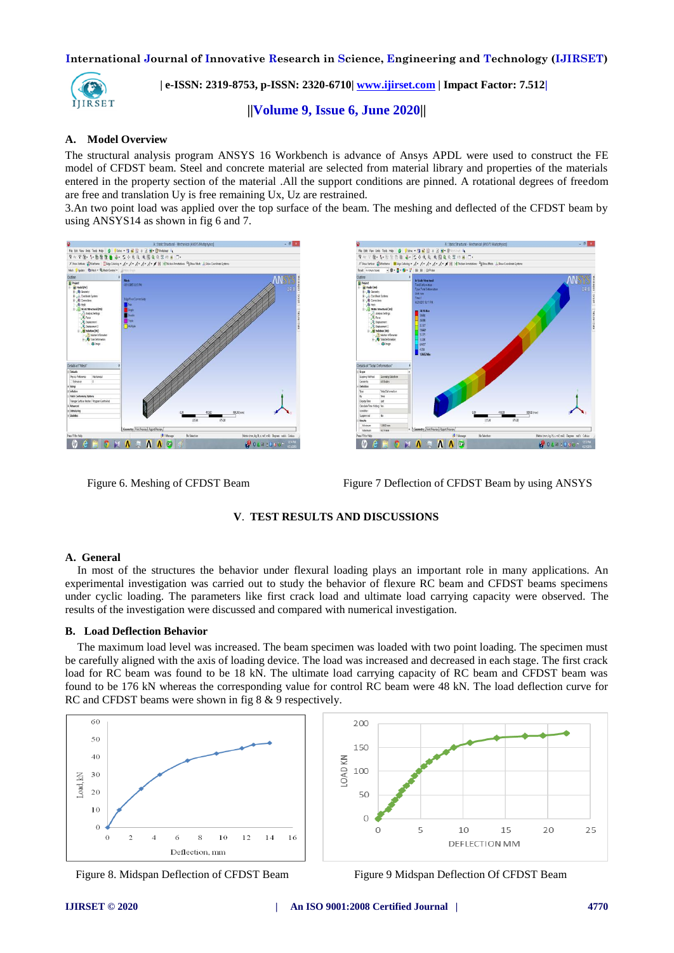

 **| e-ISSN: 2319-8753, p-ISSN: 2320-6710[| www.ijirset.com](http://www.ijirset.com/) | Impact Factor: 7.512|**

**||Volume 9, Issue 6, June 2020||** 

# **A. Model Overview**

The structural analysis program ANSYS 16 Workbench is advance of Ansys APDL were used to construct the FE model of CFDST beam. Steel and concrete material are selected from material library and properties of the materials entered in the property section of the material .All the support conditions are pinned. A rotational degrees of freedom are free and translation Uy is free remaining Ux, Uz are restrained.

3.An two point load was applied over the top surface of the beam. The meshing and deflected of the CFDST beam by using ANSYS14 as shown in fig 6 and 7.





Figure 6. Meshing of CFDST Beam **Figure 7 Deflection of CFDST Beam** by using ANSYS

### **V**. **TEST RESULTS AND DISCUSSIONS**

#### **A. General**

In most of the structures the behavior under flexural loading plays an important role in many applications. An experimental investigation was carried out to study the behavior of flexure RC beam and CFDST beams specimens under cyclic loading. The parameters like first crack load and ultimate load carrying capacity were observed. The results of the investigation were discussed and compared with numerical investigation.

#### **B. Load Deflection Behavior**

The maximum load level was increased. The beam specimen was loaded with two point loading. The specimen must be carefully aligned with the axis of loading device. The load was increased and decreased in each stage. The first crack load for RC beam was found to be 18 kN. The ultimate load carrying capacity of RC beam and CFDST beam was found to be 176 kN whereas the corresponding value for control RC beam were 48 kN. The load deflection curve for RC and CFDST beams were shown in fig 8 & 9 respectively.

 $200$ 

150





Figure 8. Midspan Deflection of CFDST Beam Figure 9 Midspan Deflection Of CFDST Beam

 $25$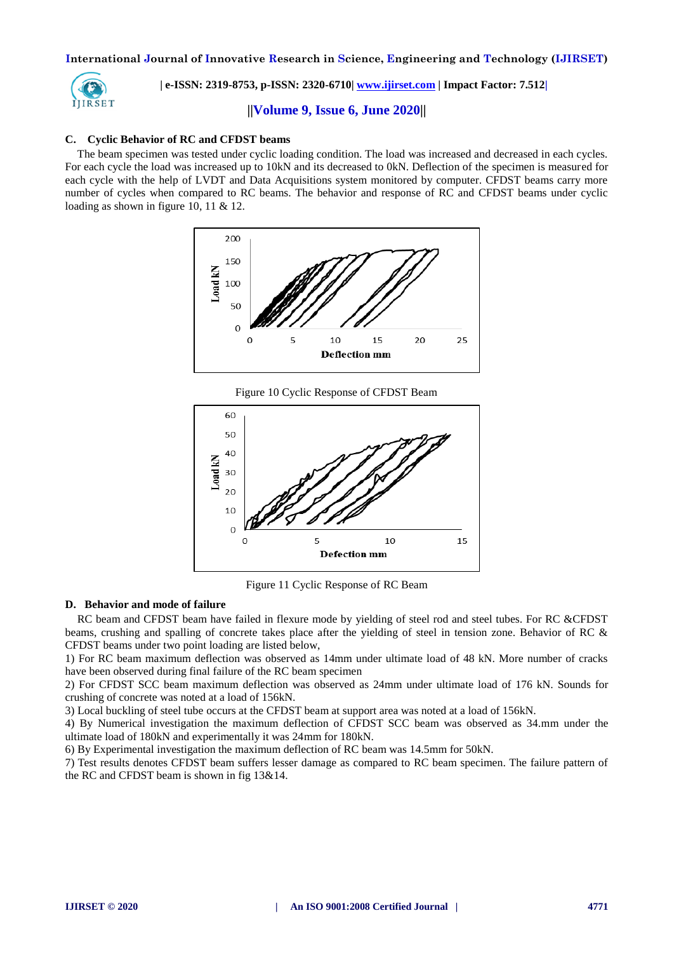

 **| e-ISSN: 2319-8753, p-ISSN: 2320-6710[| www.ijirset.com](http://www.ijirset.com/) | Impact Factor: 7.512|**

**||Volume 9, Issue 6, June 2020||** 

## **C. Cyclic Behavior of RC and CFDST beams**

The beam specimen was tested under cyclic loading condition. The load was increased and decreased in each cycles. For each cycle the load was increased up to 10kN and its decreased to 0kN. Deflection of the specimen is measured for each cycle with the help of LVDT and Data Acquisitions system monitored by computer. CFDST beams carry more number of cycles when compared to RC beams. The behavior and response of RC and CFDST beams under cyclic loading as shown in figure 10, 11 & 12.



Figure 10 Cyclic Response of CFDST Beam



Figure 11 Cyclic Response of RC Beam

#### **D. Behavior and mode of failure**

RC beam and CFDST beam have failed in flexure mode by yielding of steel rod and steel tubes. For RC &CFDST beams, crushing and spalling of concrete takes place after the yielding of steel in tension zone. Behavior of RC & CFDST beams under two point loading are listed below,

1) For RC beam maximum deflection was observed as 14mm under ultimate load of 48 kN. More number of cracks have been observed during final failure of the RC beam specimen

2) For CFDST SCC beam maximum deflection was observed as 24mm under ultimate load of 176 kN. Sounds for crushing of concrete was noted at a load of 156kN.

3) Local buckling of steel tube occurs at the CFDST beam at support area was noted at a load of 156kN.

4) By Numerical investigation the maximum deflection of CFDST SCC beam was observed as 34.mm under the ultimate load of 180kN and experimentally it was 24mm for 180kN.

6) By Experimental investigation the maximum deflection of RC beam was 14.5mm for 50kN.

7) Test results denotes CFDST beam suffers lesser damage as compared to RC beam specimen. The failure pattern of the RC and CFDST beam is shown in fig 13&14.